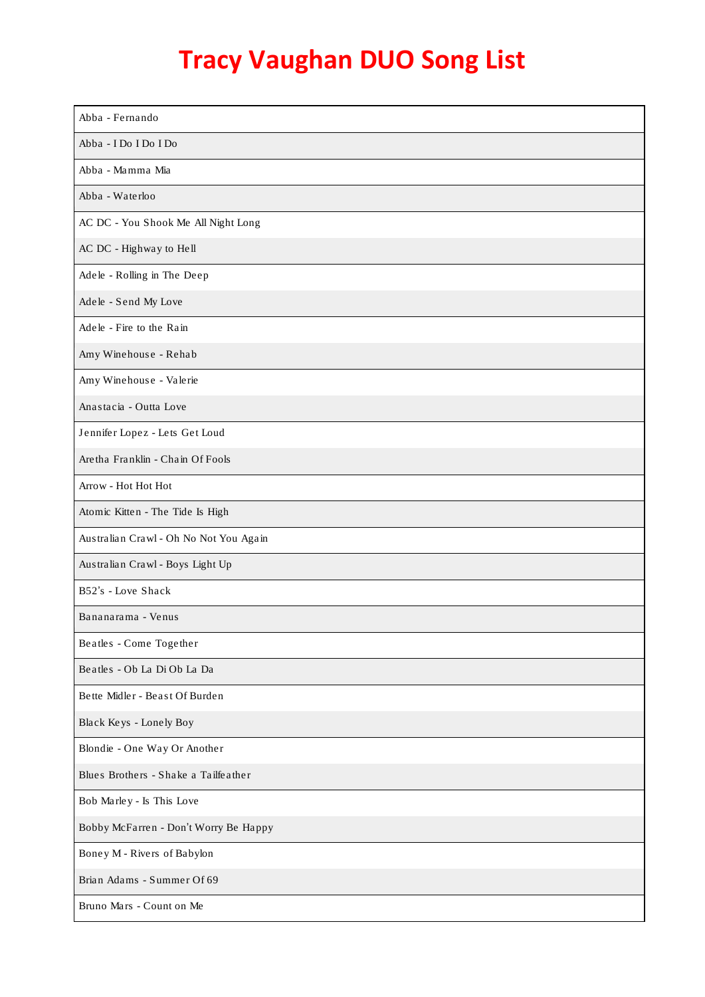| Abba - Fernando                        |
|----------------------------------------|
| Abba - I Do I Do I Do                  |
| Abba - Mamma Mia                       |
| Abba - Waterloo                        |
| AC DC - You Shook Me All Night Long    |
| AC DC - Highway to Hell                |
| Adele - Rolling in The Deep            |
| Adele - Send My Love                   |
| Adele - Fire to the Rain               |
| Amy Winehouse - Rehab                  |
| Amy Winehouse - Valerie                |
| Anastacia - Outta Love                 |
| Jennifer Lopez - Lets Get Loud         |
| Aretha Franklin - Chain Of Fools       |
| Arrow - Hot Hot Hot                    |
| Atomic Kitten - The Tide Is High       |
| Australian Crawl - Oh No Not You Again |
| Australian Crawl - Boys Light Up       |
| B52's - Love Shack                     |
| Bananarama - Venus                     |
| Beatles - Come Together                |
| Beatles - Ob La Di Ob La Da            |
| Bette Midler - Beast Of Burden         |
| Black Keys - Lonely Boy                |
| Blondie - One Way Or Another           |
| Blues Brothers - Shake a Tailfeather   |
| Bob Marley - Is This Love              |
| Bobby McFarren - Don't Worry Be Happy  |
| Boney M - Rivers of Babylon            |
| Brian Adams - Summer Of 69             |
| Bruno Mars - Count on Me               |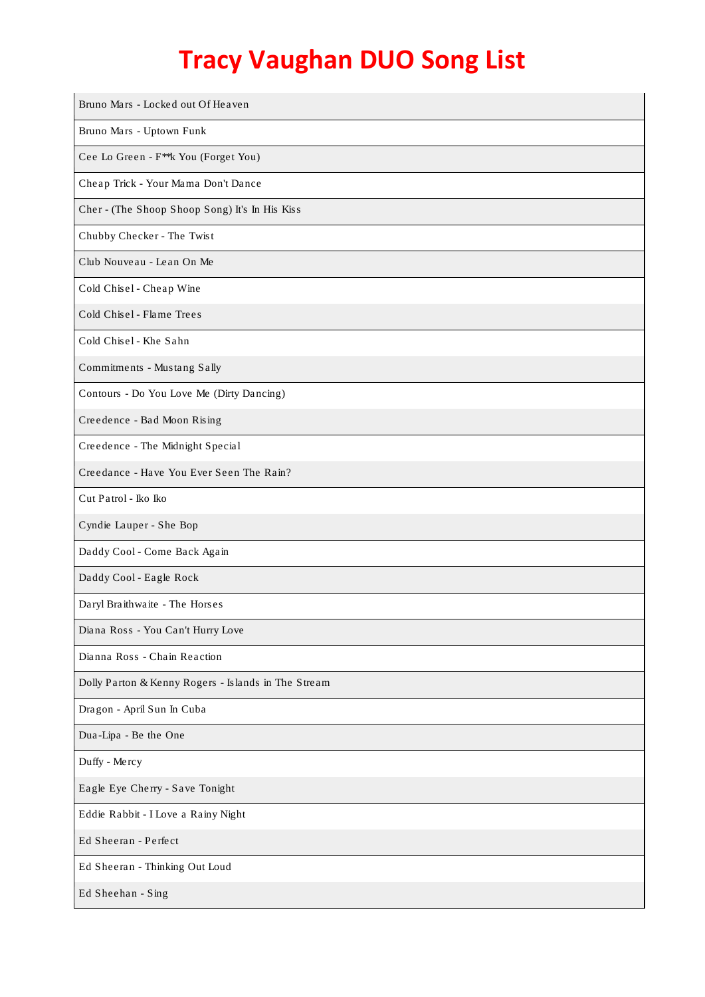| Bruno Mars - Locked out Of Heaven                   |
|-----------------------------------------------------|
| Bruno Mars - Uptown Funk                            |
| Cee Lo Green - F <sup>**</sup> k You (Forget You)   |
| Cheap Trick - Your Mama Don't Dance                 |
| Cher - (The Shoop Shoop Song) It's In His Kiss      |
| Chubby Checker - The Twist                          |
| Club Nouveau - Lean On Me                           |
| Cold Chisel - Cheap Wine                            |
| Cold Chisel - Flame Trees                           |
| Cold Chisel - Khe Sahn                              |
| Commitments - Mustang Sally                         |
| Contours - Do You Love Me (Dirty Dancing)           |
| Creedence - Bad Moon Rising                         |
| Creedence - The Midnight Special                    |
| Creedance - Have You Ever Seen The Rain?            |
| Cut Patrol - Iko Iko                                |
| Cyndie Lauper - She Bop                             |
| Daddy Cool - Come Back Again                        |
| Daddy Cool - Eagle Rock                             |
| Daryl Braithwaite - The Horses                      |
| Diana Ross - You Can't Hurry Love                   |
| Dianna Ross - Chain Reaction                        |
| Dolly Parton & Kenny Rogers - Islands in The Stream |
| Dragon - April Sun In Cuba                          |
| Dua-Lipa - Be the One                               |
| Duffy - Mercy                                       |
| Eagle Eye Cherry - Save Tonight                     |
| Eddie Rabbit - I Love a Rainy Night                 |
| Ed Sheeran - Perfect                                |
| Ed Sheeran - Thinking Out Loud                      |
| Ed Sheehan - Sing                                   |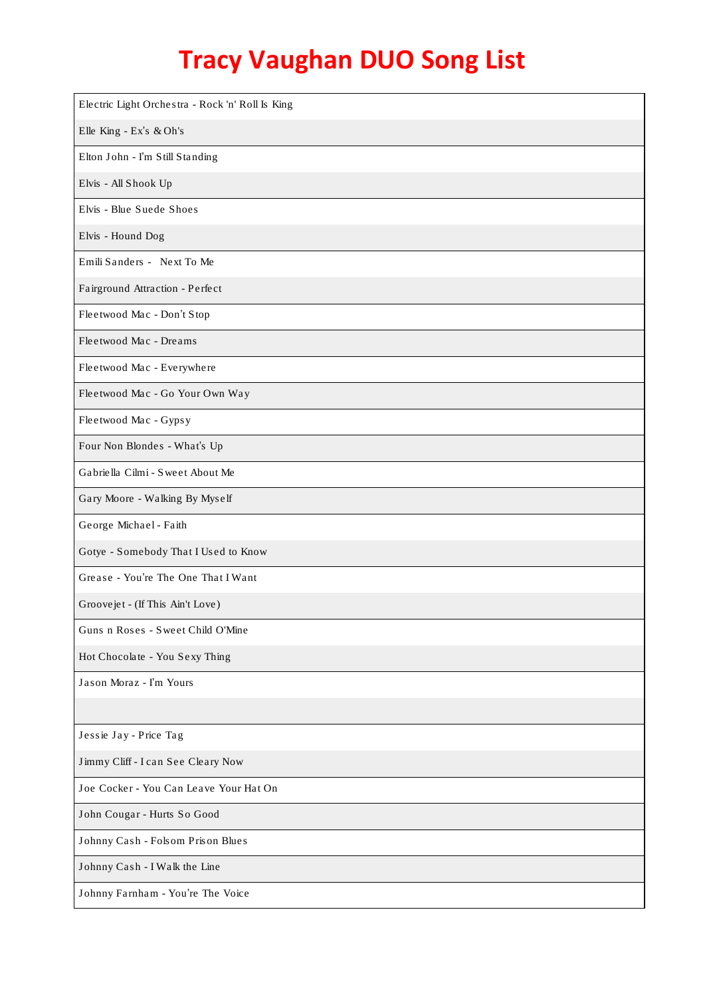| Electric Light Orchestra - Rock 'n' Roll Is King |
|--------------------------------------------------|
| Elle King - Ex's & Oh's                          |
| Elton John - I'm Still Standing                  |
| Elvis - All Shook Up                             |
| Elvis - Blue Suede Shoes                         |
| Elvis - Hound Dog                                |
| Emili Sanders - Next To Me                       |
| Fairground Attraction - Perfect                  |
| Fleetwood Mac - Don't Stop                       |
| Fleetwood Mac - Dreams                           |
| Fleetwood Mac - Everywhere                       |
| Fleetwood Mac - Go Your Own Way                  |
| Fleetwood Mac - Gypsy                            |
| Four Non Blondes - What's Up                     |
| Gabriella Cilmi - Sweet About Me                 |
| Gary Moore - Walking By Myself                   |
| George Michael - Faith                           |
| Gotye - Somebody That I Used to Know             |
| Grease - You're The One That I Want              |
| Groovejet - (If This Ain't Love)                 |
| Guns n Roses - Sweet Child O'Mine                |
| Hot Chocolate - You Sexy Thing                   |
| Jason Moraz - I'm Yours                          |
|                                                  |
| Jessie Jay - Price Tag                           |
| Jimmy Cliff - I can See Cleary Now               |
| Joe Cocker - You Can Leave Your Hat On           |
| John Cougar - Hurts So Good                      |
| Johnny Cash - Folsom Prison Blues                |
| Johnny Cash - I Walk the Line                    |
| Johnny Farnham - You're The Voice                |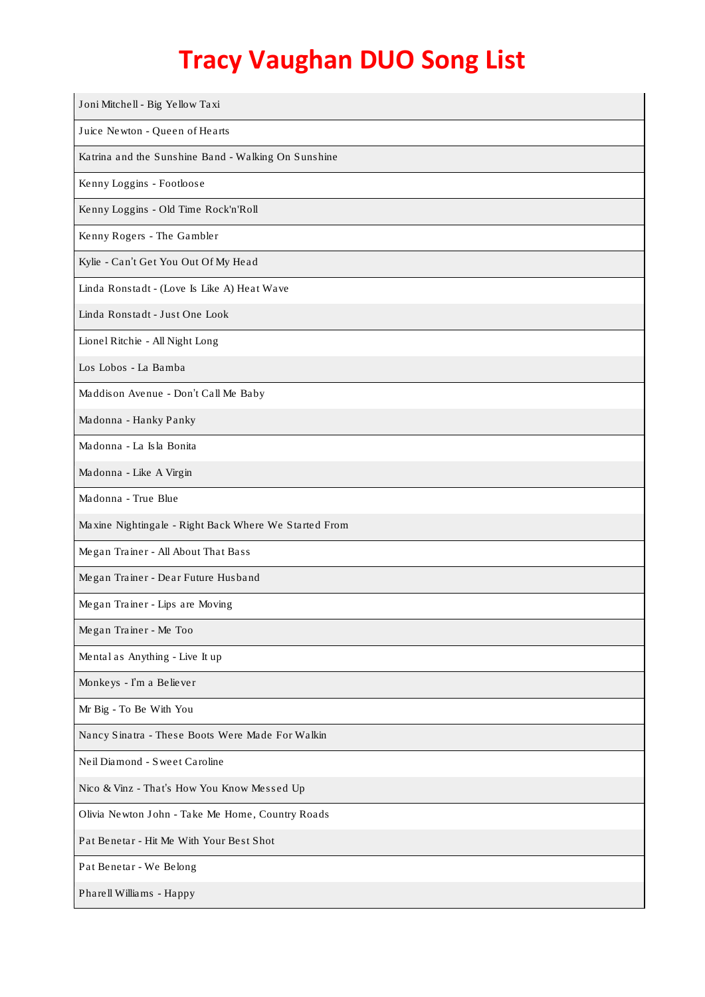| Joni Mitchell - Big Yellow Taxi                       |
|-------------------------------------------------------|
| Juice Newton - Queen of Hearts                        |
| Katrina and the Sunshine Band - Walking On Sunshine   |
| Kenny Loggins - Footloose                             |
| Kenny Loggins - Old Time Rock'n'Roll                  |
| Kenny Rogers - The Gambler                            |
| Kylie - Can't Get You Out Of My Head                  |
| Linda Ronstadt - (Love Is Like A) Heat Wave           |
| Linda Ronstadt - Just One Look                        |
| Lionel Ritchie - All Night Long                       |
| Los Lobos - La Bamba                                  |
| Maddison Avenue - Don't Call Me Baby                  |
| Madonna - Hanky Panky                                 |
| Madonna - La Isla Bonita                              |
| Madonna - Like A Virgin                               |
| Madonna - True Blue                                   |
| Maxine Nightingale - Right Back Where We Started From |
| Megan Trainer - All About That Bass                   |
| Megan Trainer - Dear Future Husband                   |
| Megan Trainer - Lips are Moving                       |
| Megan Trainer - Me Too                                |
| Mental as Anything - Live It up                       |
| Monkeys - I'm a Believer                              |
| Mr Big - To Be With You                               |
| Nancy Sinatra - These Boots Were Made For Walkin      |
| Neil Diamond - Sweet Caroline                         |
| Nico & Vinz - That's How You Know Messed Up           |
| Olivia Newton John - Take Me Home, Country Roads      |
| Pat Benetar - Hit Me With Your Best Shot              |
| Pat Benetar - We Belong                               |
| Pharell Williams - Happy                              |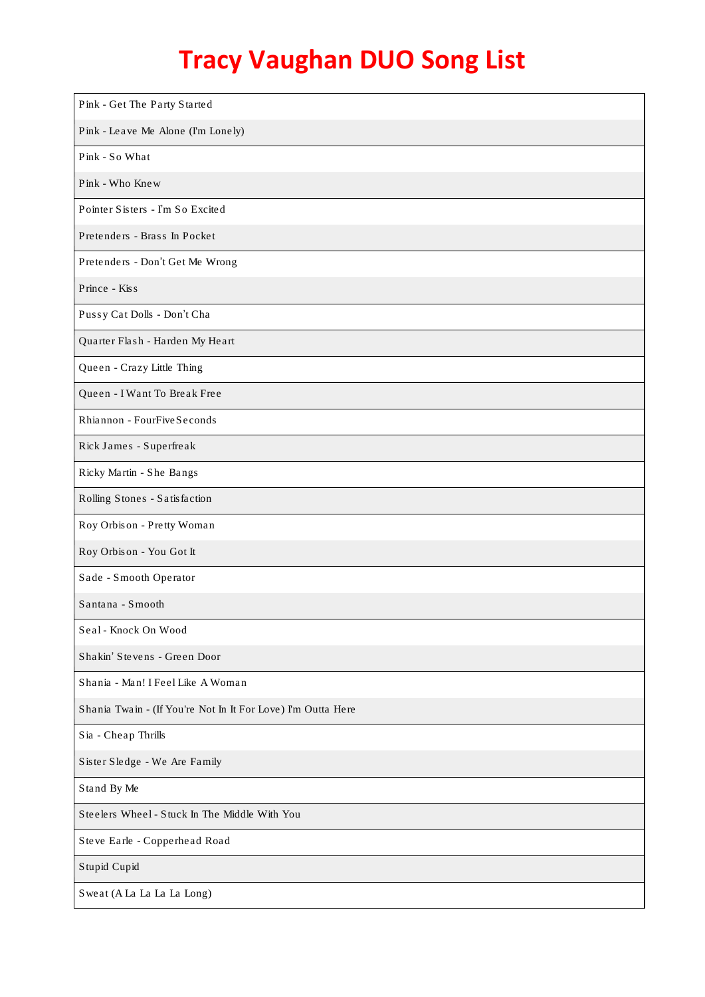| Pink - Get The Party Started                                 |
|--------------------------------------------------------------|
| Pink - Leave Me Alone (I'm Lonely)                           |
| Pink - So What                                               |
| Pink - Who Knew                                              |
| Pointer Sisters - I'm So Excited                             |
| Pretenders - Brass In Pocket                                 |
| Pretenders - Don't Get Me Wrong                              |
| Prince - Kiss                                                |
| Pussy Cat Dolls - Don't Cha                                  |
| Quarter Flash - Harden My Heart                              |
| Queen - Crazy Little Thing                                   |
| Queen - I Want To Break Free                                 |
| Rhiannon - FourFiveSeconds                                   |
| Rick James - Superfreak                                      |
| Ricky Martin - She Bangs                                     |
| Rolling Stones - Satisfaction                                |
| Roy Orbison - Pretty Woman                                   |
| Roy Orbison - You Got It                                     |
| Sade - Smooth Operator                                       |
| Santana - Smooth                                             |
| Seal - Knock On Wood                                         |
| Shakin' Stevens - Green Door                                 |
| Shania - Man! I Feel Like A Woman                            |
| Shania Twain - (If You're Not In It For Love) I'm Outta Here |
| Sia - Cheap Thrills                                          |
| Sister Sledge - We Are Family                                |
| Stand By Me                                                  |
| Steelers Wheel - Stuck In The Middle With You                |
| Steve Earle - Copperhead Road                                |
| Stupid Cupid                                                 |
| Sweat (A La La La La Long)                                   |